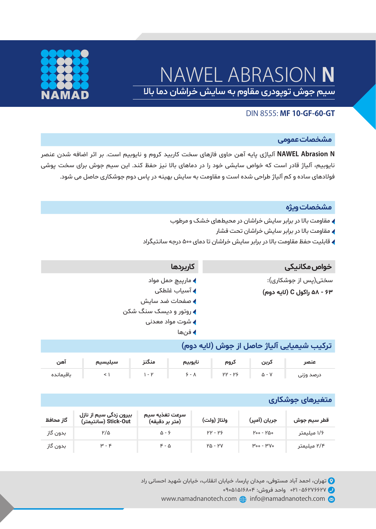# NAWEL ABRASION **N**



باقیمانده

سیم جوش توپودری مقاوم به سایش خراشان دما بالا

# DIN 8555: **MF 10-GF-60-GT**

#### **مشخصات عموم�**

**N Abrasion NAWEL** آلیاژی پایه آهن حاوی فازهای سخت کاربید کروم و نایوبیم است. بر اثر اضافه شدن عنصر نایوبیم، آلیاژ قادر است که خواص سایشی خود را در دماهای بالا نیز حفظ کند. این سیم جوش برای سخت پوشی فولادهای ساده و کم آلیاژ طراحی شده است و مقاومت به سایش بهینه در پاس دوم جوشکاری حاصل می شود.

#### **مشخصات ویژه**

- مقاومت بالا در برابر سایش خراشان در محیط های خشک و مرطوب
	- مقاومت بالا در برابر سایش خراشان تحت فشار
- قابلیت حفظ مقاومت بالا در برابر سایش خراشان تا دمای ۵۰۰ درجه سانتیگراد

| كاربردها               | خواص مکانیکی               |
|------------------------|----------------------------|
| ▶ مارپيچ حمل مواد      | سختی(پس از جوشکاری):       |
| ♦ آسياب غلطكي          | ۶۳ - ۵۸ راکول C (لايه دوم) |
| ▶ صفحات ضد سايش        |                            |
| ▶ روتور و دیسک سنگ شکن |                            |
| ▶ شوت مواد معدنی       |                            |
| ♦ فنها                 |                            |

|     |                                         |  |  | ترکیب شیمیایی آلیاژ حاصل از جوش (لایه دوم) |
|-----|-----------------------------------------|--|--|--------------------------------------------|
| آهن | کربن   کروم   نایوبیم   منگنز   سیلیسیم |  |  | عنصر                                       |

۵ - ۷ ۲۲ - ۲۶ ۱ - ۲ < ۱ ۶ - ۸

# **مت�یرهای جوشکاری**

درصد وزنى

| گاز محافظ | بیرون زدگی سیم از نازل<br>(سانتیمتر) Stick-Out | سرعت تغذيه سيم<br>(متر بر دقیقه) | ولتاژ (ولت)    | جريان (آمير)                    | قطر سيم جوش |
|-----------|------------------------------------------------|----------------------------------|----------------|---------------------------------|-------------|
| بدون گاز  | ۲/۵                                            | ۵ - ۶                            | <b>PP-PS</b>   | $Proof - FQ0$                   | ۱/۶ میلیمتر |
| بدون گاز  | $\mu - k$                                      | $F - \Delta$                     | <b>PA - PV</b> | $M_{\text{oo}} - M_{\text{vo}}$ | ۲/۴ میلیمتر |

تهران، احمد آباد مستوفی، میدان پارسا، خیابان انقلاب، خیابان شهید احسانی راد $\bullet$ 

- ۵۶۲۷۶۶۲۷ ۰۲۱ واحد فروش: ۰۹۰۵۱۵۱۶۸۰۴
- www.namadnanotech.com  $\bigoplus$  info@namadnanotech.com  $\otimes$